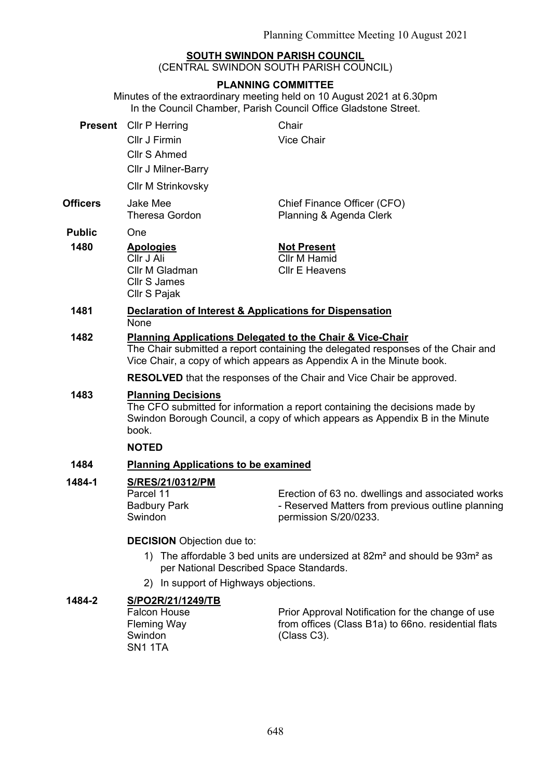# **SOUTH SWINDON PARISH COUNCIL**

(CENTRAL SWINDON SOUTH PARISH COUNCIL)

### **PLANNING COMMITTEE**

Minutes of the extraordinary meeting held on 10 August 2021 at 6.30pm In the Council Chamber, Parish Council Office Gladstone Street.

| Cllr J Firmin<br><b>Vice Chair</b><br>Cllr S Ahmed<br>Cllr J Milner-Barry<br><b>Cllr M Strinkovsky</b><br><b>Jake Mee</b><br>Chief Finance Officer (CFO)<br><b>Theresa Gordon</b><br>Planning & Agenda Clerk<br><b>Public</b><br>One<br>1480<br><b>Apologies</b><br><b>Not Present</b><br>Cllr M Hamid<br>Cllr J Ali<br><b>CIIr E Heavens</b><br>Cllr M Gladman<br>Cllr S James<br>Cllr S Pajak<br>1481<br>Declaration of Interest & Applications for Dispensation<br><b>None</b><br>1482<br>Planning Applications Delegated to the Chair & Vice-Chair<br>Vice Chair, a copy of which appears as Appendix A in the Minute book.<br><b>RESOLVED</b> that the responses of the Chair and Vice Chair be approved.<br>1483<br><b>Planning Decisions</b><br>The CFO submitted for information a report containing the decisions made by<br>Swindon Borough Council, a copy of which appears as Appendix B in the Minute<br>book.<br><b>NOTED</b><br><b>Planning Applications to be examined</b><br>1484<br>1484-1<br>S/RES/21/0312/PM<br>Parcel 11<br><b>Badbury Park</b><br>permission S/20/0233.<br>Swindon<br><b>DECISION</b> Objection due to:<br>1) The affordable 3 bed units are undersized at 82m <sup>2</sup> and should be 93m <sup>2</sup> as<br>per National Described Space Standards.<br>2) In support of Highways objections. | <b>Present</b> Cllr P Herring                                                    | Chair                                                                                                  |  |  |
|-----------------------------------------------------------------------------------------------------------------------------------------------------------------------------------------------------------------------------------------------------------------------------------------------------------------------------------------------------------------------------------------------------------------------------------------------------------------------------------------------------------------------------------------------------------------------------------------------------------------------------------------------------------------------------------------------------------------------------------------------------------------------------------------------------------------------------------------------------------------------------------------------------------------------------------------------------------------------------------------------------------------------------------------------------------------------------------------------------------------------------------------------------------------------------------------------------------------------------------------------------------------------------------------------------------------------------------------|----------------------------------------------------------------------------------|--------------------------------------------------------------------------------------------------------|--|--|
| <b>Officers</b>                                                                                                                                                                                                                                                                                                                                                                                                                                                                                                                                                                                                                                                                                                                                                                                                                                                                                                                                                                                                                                                                                                                                                                                                                                                                                                                         |                                                                                  |                                                                                                        |  |  |
|                                                                                                                                                                                                                                                                                                                                                                                                                                                                                                                                                                                                                                                                                                                                                                                                                                                                                                                                                                                                                                                                                                                                                                                                                                                                                                                                         |                                                                                  |                                                                                                        |  |  |
|                                                                                                                                                                                                                                                                                                                                                                                                                                                                                                                                                                                                                                                                                                                                                                                                                                                                                                                                                                                                                                                                                                                                                                                                                                                                                                                                         |                                                                                  |                                                                                                        |  |  |
|                                                                                                                                                                                                                                                                                                                                                                                                                                                                                                                                                                                                                                                                                                                                                                                                                                                                                                                                                                                                                                                                                                                                                                                                                                                                                                                                         |                                                                                  |                                                                                                        |  |  |
|                                                                                                                                                                                                                                                                                                                                                                                                                                                                                                                                                                                                                                                                                                                                                                                                                                                                                                                                                                                                                                                                                                                                                                                                                                                                                                                                         |                                                                                  |                                                                                                        |  |  |
|                                                                                                                                                                                                                                                                                                                                                                                                                                                                                                                                                                                                                                                                                                                                                                                                                                                                                                                                                                                                                                                                                                                                                                                                                                                                                                                                         |                                                                                  |                                                                                                        |  |  |
|                                                                                                                                                                                                                                                                                                                                                                                                                                                                                                                                                                                                                                                                                                                                                                                                                                                                                                                                                                                                                                                                                                                                                                                                                                                                                                                                         |                                                                                  |                                                                                                        |  |  |
|                                                                                                                                                                                                                                                                                                                                                                                                                                                                                                                                                                                                                                                                                                                                                                                                                                                                                                                                                                                                                                                                                                                                                                                                                                                                                                                                         |                                                                                  |                                                                                                        |  |  |
|                                                                                                                                                                                                                                                                                                                                                                                                                                                                                                                                                                                                                                                                                                                                                                                                                                                                                                                                                                                                                                                                                                                                                                                                                                                                                                                                         | The Chair submitted a report containing the delegated responses of the Chair and |                                                                                                        |  |  |
|                                                                                                                                                                                                                                                                                                                                                                                                                                                                                                                                                                                                                                                                                                                                                                                                                                                                                                                                                                                                                                                                                                                                                                                                                                                                                                                                         |                                                                                  |                                                                                                        |  |  |
|                                                                                                                                                                                                                                                                                                                                                                                                                                                                                                                                                                                                                                                                                                                                                                                                                                                                                                                                                                                                                                                                                                                                                                                                                                                                                                                                         |                                                                                  |                                                                                                        |  |  |
|                                                                                                                                                                                                                                                                                                                                                                                                                                                                                                                                                                                                                                                                                                                                                                                                                                                                                                                                                                                                                                                                                                                                                                                                                                                                                                                                         |                                                                                  |                                                                                                        |  |  |
|                                                                                                                                                                                                                                                                                                                                                                                                                                                                                                                                                                                                                                                                                                                                                                                                                                                                                                                                                                                                                                                                                                                                                                                                                                                                                                                                         |                                                                                  |                                                                                                        |  |  |
|                                                                                                                                                                                                                                                                                                                                                                                                                                                                                                                                                                                                                                                                                                                                                                                                                                                                                                                                                                                                                                                                                                                                                                                                                                                                                                                                         |                                                                                  | Erection of 63 no. dwellings and associated works<br>- Reserved Matters from previous outline planning |  |  |
|                                                                                                                                                                                                                                                                                                                                                                                                                                                                                                                                                                                                                                                                                                                                                                                                                                                                                                                                                                                                                                                                                                                                                                                                                                                                                                                                         |                                                                                  |                                                                                                        |  |  |
|                                                                                                                                                                                                                                                                                                                                                                                                                                                                                                                                                                                                                                                                                                                                                                                                                                                                                                                                                                                                                                                                                                                                                                                                                                                                                                                                         |                                                                                  |                                                                                                        |  |  |
|                                                                                                                                                                                                                                                                                                                                                                                                                                                                                                                                                                                                                                                                                                                                                                                                                                                                                                                                                                                                                                                                                                                                                                                                                                                                                                                                         |                                                                                  |                                                                                                        |  |  |

## **1484-2 S/PO2R/21/1249/TB**

Falcon House Fleming Way **Swindon** SN1 1TA

Prior Approval Notification for the change of use from offices (Class B1a) to 66no. residential flats (Class C3).